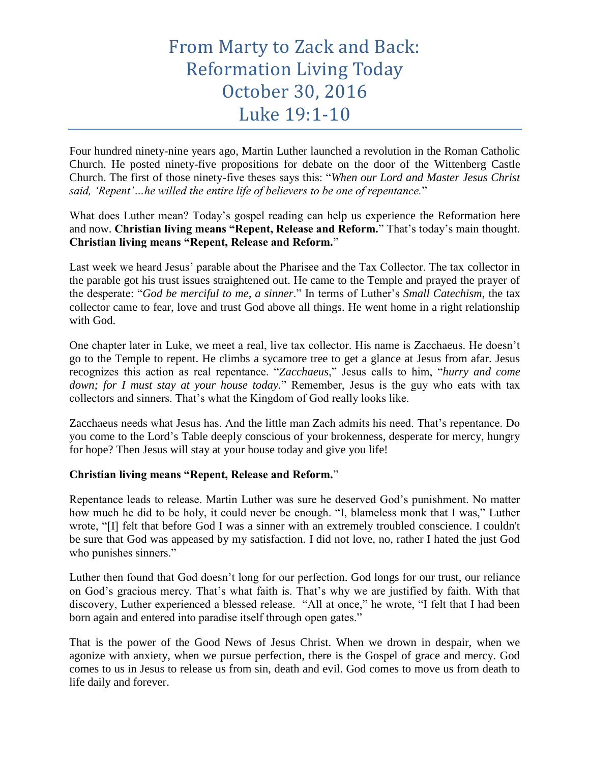## From Marty to Zack and Back: Reformation Living Today October 30, 2016 Luke 19:1-10

Four hundred ninety-nine years ago, Martin Luther launched a revolution in the Roman Catholic Church. He posted ninety-five propositions for debate on the door of the Wittenberg Castle Church. The first of those ninety-five theses says this: "*When our Lord and Master Jesus Christ said, 'Repent'…he willed the entire life of believers to be one of repentance.*"

What does Luther mean? Today's gospel reading can help us experience the Reformation here and now. **Christian living means "Repent, Release and Reform.**" That's today's main thought. **Christian living means "Repent, Release and Reform.**"

Last week we heard Jesus' parable about the Pharisee and the Tax Collector. The tax collector in the parable got his trust issues straightened out. He came to the Temple and prayed the prayer of the desperate: "*God be merciful to me, a sinner*." In terms of Luther's *Small Catechism*, the tax collector came to fear, love and trust God above all things. He went home in a right relationship with God.

One chapter later in Luke, we meet a real, live tax collector. His name is Zacchaeus. He doesn't go to the Temple to repent. He climbs a sycamore tree to get a glance at Jesus from afar. Jesus recognizes this action as real repentance. "*Zacchaeus*," Jesus calls to him, "*hurry and come down; for I must stay at your house today.*" Remember, Jesus is the guy who eats with tax collectors and sinners. That's what the Kingdom of God really looks like.

Zacchaeus needs what Jesus has. And the little man Zach admits his need. That's repentance. Do you come to the Lord's Table deeply conscious of your brokenness, desperate for mercy, hungry for hope? Then Jesus will stay at your house today and give you life!

## **Christian living means "Repent, Release and Reform.**"

Repentance leads to release. Martin Luther was sure he deserved God's punishment. No matter how much he did to be holy, it could never be enough. "I, blameless monk that I was," Luther wrote, "[I] felt that before God I was a sinner with an extremely troubled conscience. I couldn't be sure that God was appeased by my satisfaction. I did not love, no, rather I hated the just God who punishes sinners."

Luther then found that God doesn't long for our perfection. God longs for our trust, our reliance on God's gracious mercy. That's what faith is. That's why we are justified by faith. With that discovery, Luther experienced a blessed release. "All at once," he wrote, "I felt that I had been born again and entered into paradise itself through open gates."

That is the power of the Good News of Jesus Christ. When we drown in despair, when we agonize with anxiety, when we pursue perfection, there is the Gospel of grace and mercy. God comes to us in Jesus to release us from sin, death and evil. God comes to move us from death to life daily and forever.